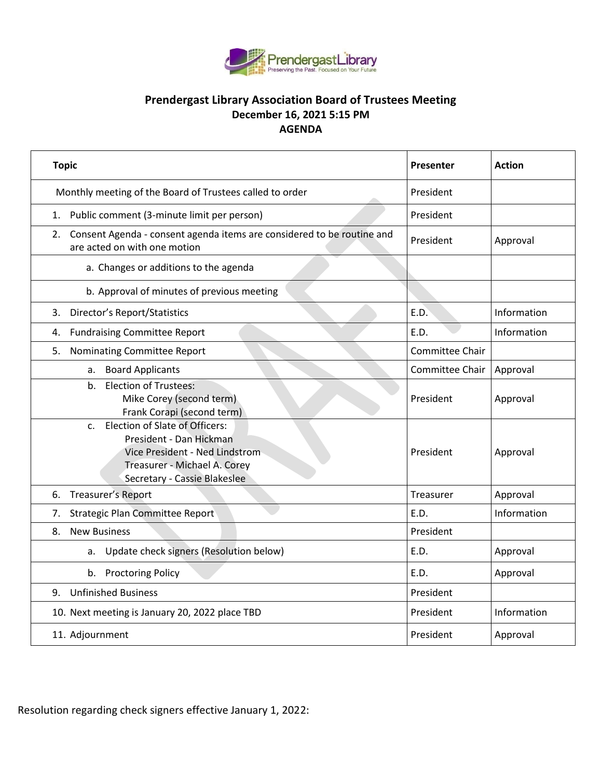

## **Prendergast Library Association Board of Trustees Meeting December 16, 2021 5:15 PM AGENDA**

| <b>Topic</b>                                                                                                                                                   | Presenter       | <b>Action</b> |
|----------------------------------------------------------------------------------------------------------------------------------------------------------------|-----------------|---------------|
| Monthly meeting of the Board of Trustees called to order                                                                                                       | President       |               |
| 1. Public comment (3-minute limit per person)                                                                                                                  | President       |               |
| Consent Agenda - consent agenda items are considered to be routine and<br>2.<br>are acted on with one motion                                                   | President       | Approval      |
| a. Changes or additions to the agenda                                                                                                                          |                 |               |
| b. Approval of minutes of previous meeting                                                                                                                     |                 |               |
| <b>Director's Report/Statistics</b><br>3.                                                                                                                      | E.D.            | Information   |
| <b>Fundraising Committee Report</b><br>4.                                                                                                                      | E.D.            | Information   |
| Nominating Committee Report<br>5.                                                                                                                              | Committee Chair |               |
| <b>Board Applicants</b><br>a.                                                                                                                                  | Committee Chair | Approval      |
| <b>Election of Trustees:</b><br>b.<br>Mike Corey (second term)<br>Frank Corapi (second term)                                                                   | President       | Approval      |
| c. Election of Slate of Officers:<br>President - Dan Hickman<br>Vice President - Ned Lindstrom<br>Treasurer - Michael A. Corey<br>Secretary - Cassie Blakeslee | President       | Approval      |
| Treasurer's Report<br>6.                                                                                                                                       | Treasurer       | Approval      |
| Strategic Plan Committee Report<br>7.                                                                                                                          | E.D.            | Information   |
| <b>New Business</b><br>8.                                                                                                                                      | President       |               |
| Update check signers (Resolution below)<br>a.                                                                                                                  | E.D.            | Approval      |
| b. Proctoring Policy                                                                                                                                           | E.D.            | Approval      |
| <b>Unfinished Business</b><br>9.                                                                                                                               | President       |               |
| 10. Next meeting is January 20, 2022 place TBD                                                                                                                 | President       | Information   |
| 11. Adjournment                                                                                                                                                | President       | Approval      |

Resolution regarding check signers effective January 1, 2022: